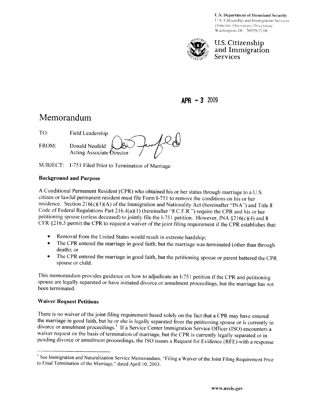**U.S. Department of Homeland Security** U.S. Citizenship and Immigration Services Domestic Operations Directorate Washington, DC 20529-2110



U. **S.** Citizenship and Immigration Services

 $APR - 3$  2009

## Memorandum

|       | Field Leadership                            |  |
|-------|---------------------------------------------|--|
| FROM: | Donald Neufeld<br>Acting Associate Director |  |

SUBJECT: I-751 Filed Prior to Termination of Marriage

## **Background and Purpose**

A Conditional Permanent Resident (CPR) who obtained his or her status through marriage to a U.S. citizen or lawful permanent resident must file Form 1-75 1 to remove the conditions on his or her residence. Section  $216(c)(1)(A)$  of the Immigration and Nationality Act (hereinafter "INA") and Title 8 Code of Federal Regulations Part 2 16.4(a)(1) (hereinafter "8 C.F.R.") require the CPR and his or her petitioning spouse (unless deceased) to jointly file the I-751 petition. However, INA §216(c)(4) and 8 CFR \$216.5 permit the CPR to request a waiver of the joint filing requirement if the CPR establishes that:

- Removal from the United States would result in extreme hardship;  $\bullet$
- The CPR entered the marriage in good faith, but the marriage was terminated (other than through  $\bullet$ death); or
- The CPR entered the marriage in good faith, but the petitioning spouse or parent battered the CPR  $\bullet$ spouse or child.

This memorandum provides guidance on how to adjudicate an 1-75 1 petition if the CPR and petitioning spouse are legally separated or have initiated divorce or annulment proceedings, but the marriage has not been terminated.

## **Waiver Request Petitions**

There is no waiver of the joint filing requirement based solely on the fact that a CPR may have entered the marriage in good faith, but he or she is legally separated from the petitioning spouse or is currently in divorce or annulment proceedings.' If a Service Center Immigration Service Officer (ISO) encounters a waiver request on the basis of termination of marriage, but the CPR is currently legally separated or in pending divorce or annulment proceedings, the IS0 issues a Request for Evidence (RFE) with a response

<sup>&</sup>lt;sup>1</sup> See Immigration and Naturalization Service Memorandum, "Filing a Waiver of the Joint Filing Requirement Prior to Final Termination of the Marriage," dated April 10, 2003.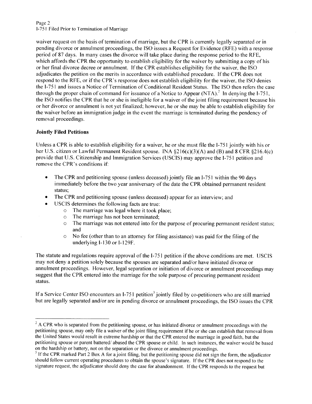Page 2 1-75 **1** Filed Prior to Termination of Marriage

waiver request on the basis of termination of marriage, but the CPR is currently legally separated or in pending divorce or annulment proceedings, the IS0 issues a Request for Evidence (RFE) with a response period of 87 days. In many cases the divorce will take place during the response period to the RFE, which affords the CPR the opportunity to establish eligibility for the waiver by submitting a copy of his or her final divorce decree or annulment. If the CPR establishes eligibility for the waiver, the IS0 adjudicates the petition on the merits in accordance with established procedure. If the CPR does not respond to the RFE, or if the CPR's response does not establish eligibility for the waiver, the IS0 denies the 1-75 1 and issues a Notice of Termination of Conditional Resident Status. The IS0 then refers the case through the proper chain of command for issuance of a Notice to Appear (NTA).<sup>2</sup> In denying the I-751. the IS0 notifies the CPR that he or she is ineligible for a waiver of the joint filing requirement because his or her divorce or annulment is not yet finalized; however, he or she may be able to establish eligibility for the waiver before an immigration judge in the event'the marriage is terminated during the pendency of removal proceedings.

## **Jointly Filed Petitions**

Unless a CPR is able to establish eligibility for a waiver, he or she must file the 1-75 1 jointly with his or her U.S. citizen or Lawful Permanent Resident spouse. INA §216(c)(3)(A) and (B) and 8 CFR §216.4(c) provide that U.S. Citizenship and Immigration Services (USCIS) may approve the 1-75 1 petition and remove the CPR's conditions if

- The CPR and petitioning spouse (unless deceased) jointly file an I-751 within the 90 days immediately before the two year anniversary of the date the CPR obtained permanent resident status;
- The CPR and petitioning spouse (unless deceased) appear for an interview; and  $\bullet$
- USCIS determines the following facts are true:
	- o The marriage was legal where it took place;
	- o The marriage has not been terminated;
	- $\circ$  The marriage was not entered into for the purpose of procuring permanent resident status; and
	- $\circ$  No fee (other than to an attorney for filing assistance) was paid for the filing of the underlying I- 130 or I- 129F.

The statute and regulations require approval of the 1-75 1 petition if the above conditions are met. USCIS may not deny a petition solely because the spouses are separated and/or have initiated divorce or annulment proceedings. However, legal separation or initiation of divorce or annulment proceedings may suggest that the CPR entered into the marriage for the sole purpose of procuring permanent resident status.

If a Service Center ISO encounters an  $I-751$  petition<sup>3</sup> jointly filed by co-petitioners who are still married but are legally separated andlor are in pending divorce or annulment proceedings, the IS0 issues the CPR

 $<sup>2</sup>$  A CPR who is separated from the petitioning spouse, or has initiated divorce or annulment proceedings with the</sup> petitioning spouse, may only file a waiver of the joint filing requirement if he or she can establish that removal from the United States would result in extreme hardship or that the CPR entered the marriage in good faith, but the petitioning spouse or parent battered/abused the CPR spouse or child. In such instances, the waiver would be based<br>on the hardship or battery, not on the separation or the divorce or annulment proceedings.

<sup>&</sup>lt;sup>3</sup> If the CPR marked Part 2 Box A for a joint filing, but the petitioning spouse did not sign the form, the adjudicator should follow current operating procedures to obtain the spouse's signature. If the CPR does not respond to the signature request, the adjudicator should deny the case for abandonment. If the CPR responds to the request but